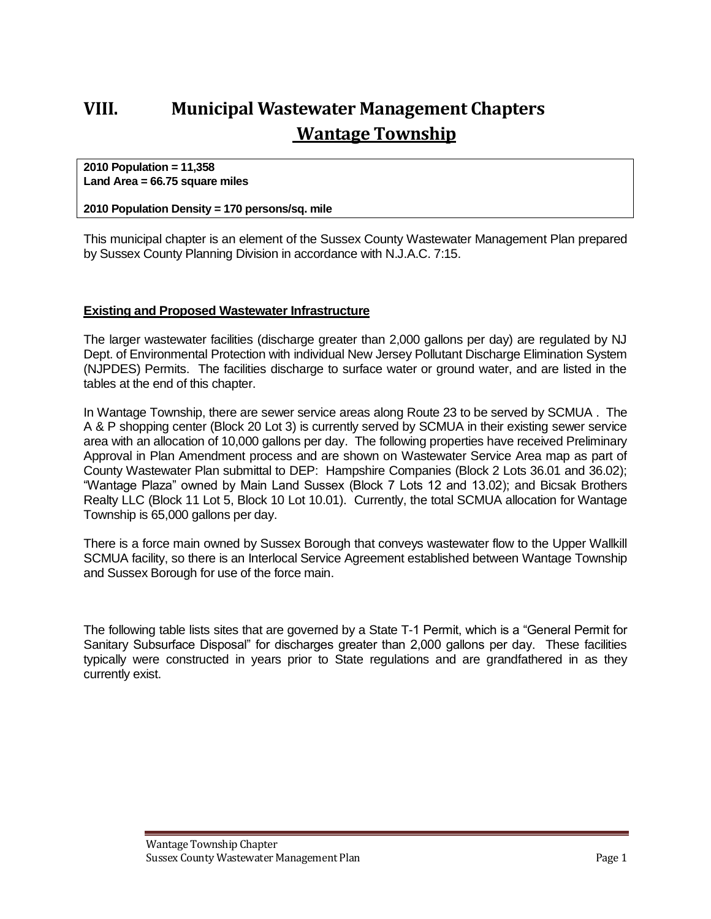# **VIII. Municipal Wastewater Management Chapters Wantage Township**

**2010 Population = 11,358 Land Area = 66.75 square miles**

#### **2010 Population Density = 170 persons/sq. mile**

This municipal chapter is an element of the Sussex County Wastewater Management Plan prepared by Sussex County Planning Division in accordance with N.J.A.C. 7:15.

#### **Existing and Proposed Wastewater Infrastructure**

The larger wastewater facilities (discharge greater than 2,000 gallons per day) are regulated by NJ Dept. of Environmental Protection with individual New Jersey Pollutant Discharge Elimination System (NJPDES) Permits. The facilities discharge to surface water or ground water, and are listed in the tables at the end of this chapter.

In Wantage Township, there are sewer service areas along Route 23 to be served by SCMUA . The A & P shopping center (Block 20 Lot 3) is currently served by SCMUA in their existing sewer service area with an allocation of 10,000 gallons per day. The following properties have received Preliminary Approval in Plan Amendment process and are shown on Wastewater Service Area map as part of County Wastewater Plan submittal to DEP: Hampshire Companies (Block 2 Lots 36.01 and 36.02); "Wantage Plaza" owned by Main Land Sussex (Block 7 Lots 12 and 13.02); and Bicsak Brothers Realty LLC (Block 11 Lot 5, Block 10 Lot 10.01). Currently, the total SCMUA allocation for Wantage Township is 65,000 gallons per day.

There is a force main owned by Sussex Borough that conveys wastewater flow to the Upper Wallkill SCMUA facility, so there is an Interlocal Service Agreement established between Wantage Township and Sussex Borough for use of the force main.

The following table lists sites that are governed by a State T-1 Permit, which is a "General Permit for Sanitary Subsurface Disposal" for discharges greater than 2,000 gallons per day. These facilities typically were constructed in years prior to State regulations and are grandfathered in as they currently exist.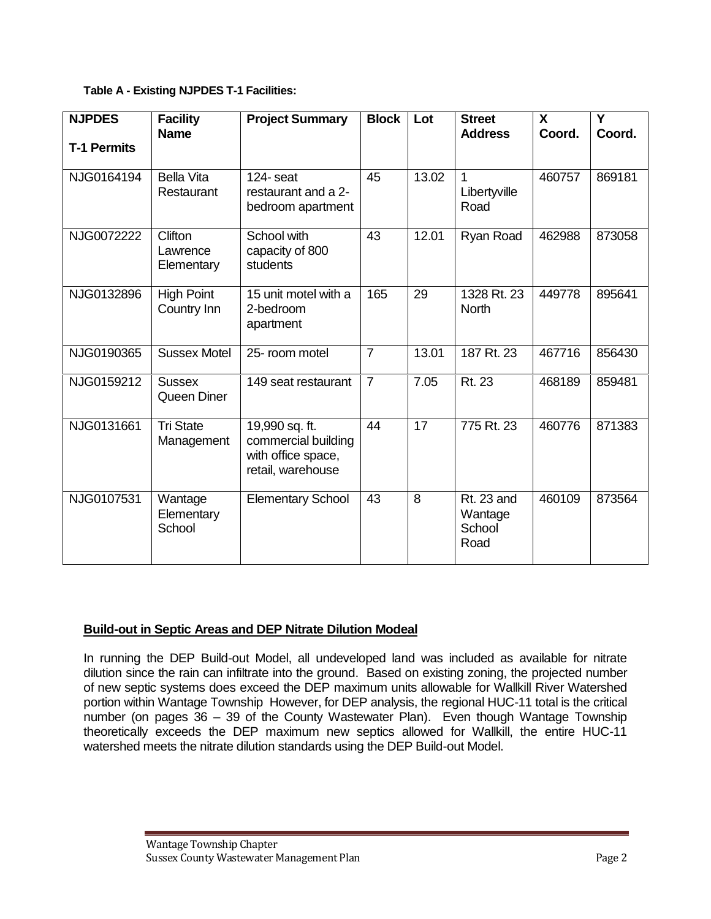#### **Table A - Existing NJPDES T-1 Facilities:**

| <b>NJPDES</b>      | <b>Facility</b><br><b>Name</b>           | <b>Project Summary</b>                                                           | <b>Block</b>   | Lot   | <b>Street</b><br><b>Address</b>                | $\mathbf{x}$<br>Coord. | Y<br>Coord. |
|--------------------|------------------------------------------|----------------------------------------------------------------------------------|----------------|-------|------------------------------------------------|------------------------|-------------|
| <b>T-1 Permits</b> |                                          |                                                                                  |                |       |                                                |                        |             |
| NJG0164194         | <b>Bella Vita</b><br>Restaurant          | $124 -$ seat<br>restaurant and a 2-<br>bedroom apartment                         | 45             | 13.02 | 1<br>Libertyville<br>Road                      | 460757                 | 869181      |
| NJG0072222         | <b>Clifton</b><br>Lawrence<br>Elementary | School with<br>capacity of 800<br>students                                       | 43             | 12.01 | Ryan Road                                      | 462988                 | 873058      |
| NJG0132896         | <b>High Point</b><br>Country Inn         | 15 unit motel with a<br>2-bedroom<br>apartment                                   | 165            | 29    | 1328 Rt. 23<br>North                           | 449778                 | 895641      |
| NJG0190365         | <b>Sussex Motel</b>                      | 25-room motel                                                                    | $\overline{7}$ | 13.01 | 187 Rt. 23                                     | 467716                 | 856430      |
| NJG0159212         | <b>Sussex</b><br>Queen Diner             | 149 seat restaurant                                                              | $\overline{7}$ | 7.05  | Rt. 23                                         | 468189                 | 859481      |
| NJG0131661         | <b>Tri State</b><br>Management           | 19,990 sq. ft.<br>commercial building<br>with office space,<br>retail, warehouse | 44             | 17    | 775 Rt. 23                                     | 460776                 | 871383      |
| NJG0107531         | Wantage<br>Elementary<br>School          | <b>Elementary School</b>                                                         | 43             | 8     | <b>Rt. 23 and</b><br>Wantage<br>School<br>Road | 460109                 | 873564      |

# **Build-out in Septic Areas and DEP Nitrate Dilution Modeal**

In running the DEP Build-out Model, all undeveloped land was included as available for nitrate dilution since the rain can infiltrate into the ground. Based on existing zoning, the projected number of new septic systems does exceed the DEP maximum units allowable for Wallkill River Watershed portion within Wantage Township However, for DEP analysis, the regional HUC-11 total is the critical number (on pages 36 – 39 of the County Wastewater Plan). Even though Wantage Township theoretically exceeds the DEP maximum new septics allowed for Wallkill, the entire HUC-11 watershed meets the nitrate dilution standards using the DEP Build-out Model.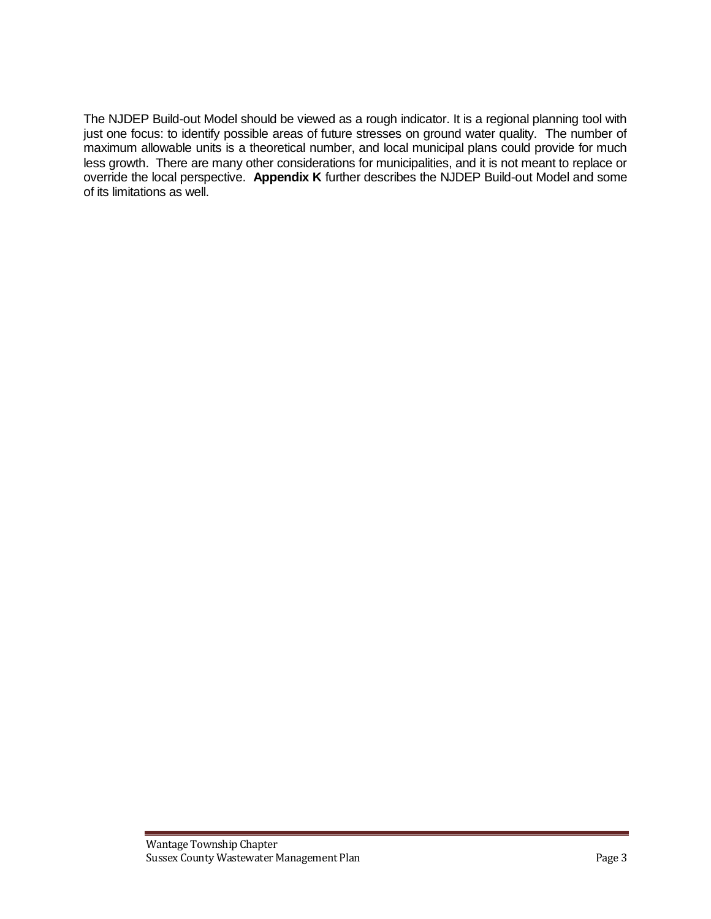The NJDEP Build-out Model should be viewed as a rough indicator. It is a regional planning tool with just one focus: to identify possible areas of future stresses on ground water quality. The number of maximum allowable units is a theoretical number, and local municipal plans could provide for much less growth. There are many other considerations for municipalities, and it is not meant to replace or override the local perspective. **Appendix K** further describes the NJDEP Build-out Model and some of its limitations as well.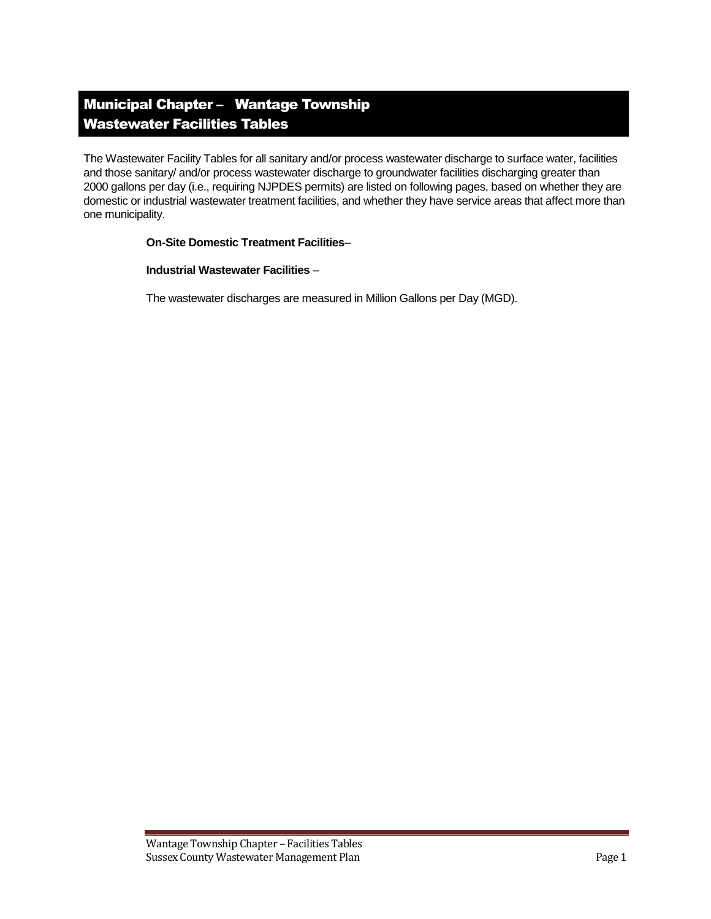# Municipal Chapter – Wantage Township Wastewater Facilities Tables

The Wastewater Facility Tables for all sanitary and/or process wastewater discharge to surface water, facilities and those sanitary/ and/or process wastewater discharge to groundwater facilities discharging greater than 2000 gallons per day (i.e., requiring NJPDES permits) are listed on following pages, based on whether they are domestic or industrial wastewater treatment facilities, and whether they have service areas that affect more than one municipality.

#### **On-Site Domestic Treatment Facilities**–

#### **Industrial Wastewater Facilities** –

The wastewater discharges are measured in Million Gallons per Day (MGD).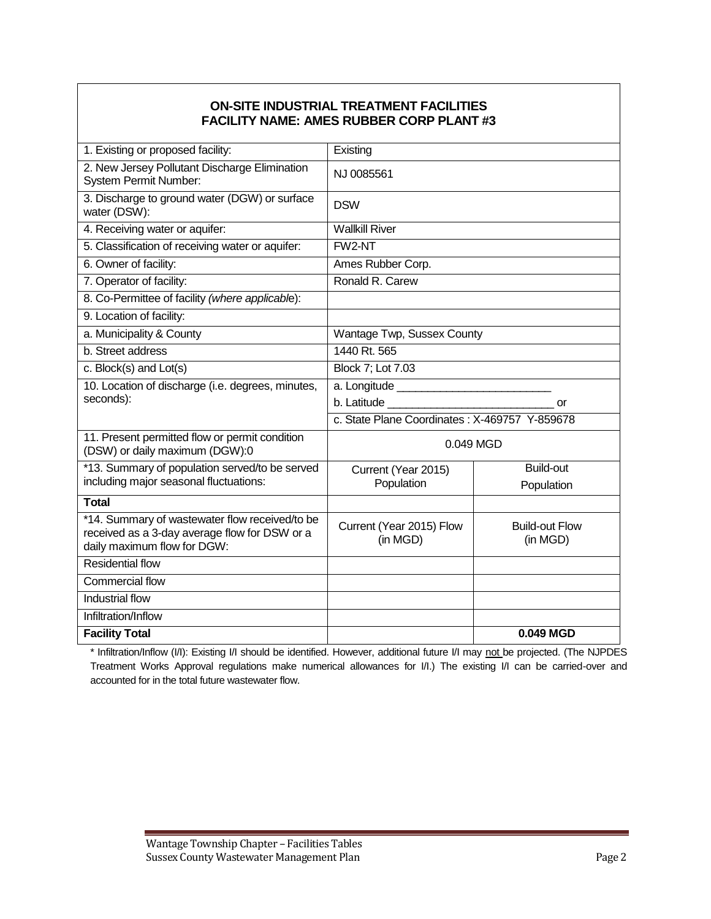#### **ON-SITE INDUSTRIAL TREATMENT FACILITIES FACILITY NAME: AMES RUBBER CORP PLANT #3**

| 1. Existing or proposed facility:                                                                                              | Existing                                      |                                   |  |
|--------------------------------------------------------------------------------------------------------------------------------|-----------------------------------------------|-----------------------------------|--|
| 2. New Jersey Pollutant Discharge Elimination<br><b>System Permit Number:</b>                                                  | NJ 0085561                                    |                                   |  |
| 3. Discharge to ground water (DGW) or surface<br>water (DSW):                                                                  | <b>DSW</b>                                    |                                   |  |
| 4. Receiving water or aquifer:                                                                                                 | <b>Wallkill River</b>                         |                                   |  |
| 5. Classification of receiving water or aquifer:                                                                               | FW2-NT                                        |                                   |  |
| 6. Owner of facility:                                                                                                          | Ames Rubber Corp.                             |                                   |  |
| 7. Operator of facility:                                                                                                       | Ronald R. Carew                               |                                   |  |
| 8. Co-Permittee of facility (where applicable):                                                                                |                                               |                                   |  |
| 9. Location of facility:                                                                                                       |                                               |                                   |  |
| a. Municipality & County                                                                                                       | Wantage Twp, Sussex County                    |                                   |  |
| b. Street address                                                                                                              | 1440 Rt. 565                                  |                                   |  |
| c. Block(s) and Lot(s)                                                                                                         | Block 7; Lot 7.03                             |                                   |  |
| 10. Location of discharge (i.e. degrees, minutes,                                                                              |                                               |                                   |  |
| seconds):                                                                                                                      | b. Latitude<br><b>or</b>                      |                                   |  |
|                                                                                                                                | c. State Plane Coordinates: X-469757 Y-859678 |                                   |  |
| 11. Present permitted flow or permit condition<br>(DSW) or daily maximum (DGW):0                                               | 0.049 MGD                                     |                                   |  |
| *13. Summary of population served/to be served                                                                                 | Current (Year 2015)                           | <b>Build-out</b>                  |  |
| including major seasonal fluctuations:                                                                                         | Population                                    | Population                        |  |
| <b>Total</b>                                                                                                                   |                                               |                                   |  |
| *14. Summary of wastewater flow received/to be<br>received as a 3-day average flow for DSW or a<br>daily maximum flow for DGW: | Current (Year 2015) Flow<br>(in MGD)          | <b>Build-out Flow</b><br>(in MGD) |  |
| <b>Residential flow</b>                                                                                                        |                                               |                                   |  |
| <b>Commercial flow</b>                                                                                                         |                                               |                                   |  |
| <b>Industrial flow</b>                                                                                                         |                                               |                                   |  |
| Infiltration/Inflow                                                                                                            |                                               |                                   |  |
| <b>Facility Total</b>                                                                                                          |                                               | 0.049 MGD                         |  |

\* Infiltration/Inflow (I/I): Existing I/I should be identified. However, additional future I/I may not be projected. (The NJPDES Treatment Works Approval regulations make numerical allowances for I/I.) The existing I/I can be carried-over and accounted for in the total future wastewater flow.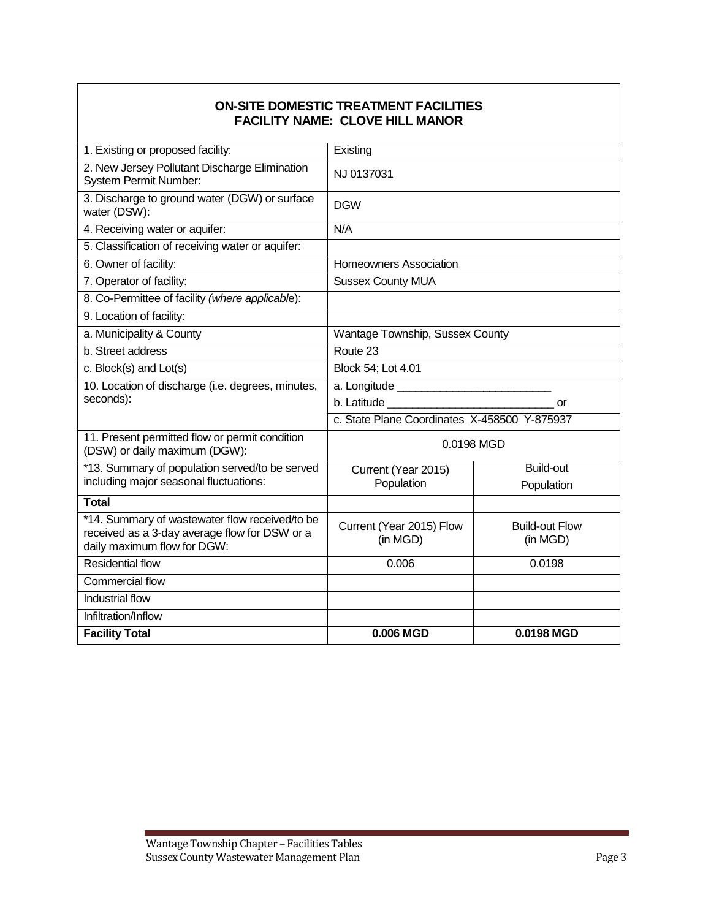#### **ON-SITE DOMESTIC TREATMENT FACILITIES FACILITY NAME: CLOVE HILL MANOR**

| 1. Existing or proposed facility:                                                                                              | Existing                                     |                                   |  |
|--------------------------------------------------------------------------------------------------------------------------------|----------------------------------------------|-----------------------------------|--|
| 2. New Jersey Pollutant Discharge Elimination<br><b>System Permit Number:</b>                                                  | NJ 0137031                                   |                                   |  |
| 3. Discharge to ground water (DGW) or surface<br>water (DSW):                                                                  | <b>DGW</b>                                   |                                   |  |
| 4. Receiving water or aquifer:                                                                                                 | N/A                                          |                                   |  |
| 5. Classification of receiving water or aquifer:                                                                               |                                              |                                   |  |
| 6. Owner of facility:                                                                                                          | <b>Homeowners Association</b>                |                                   |  |
| 7. Operator of facility:                                                                                                       | <b>Sussex County MUA</b>                     |                                   |  |
| 8. Co-Permittee of facility (where applicable):                                                                                |                                              |                                   |  |
| 9. Location of facility:                                                                                                       |                                              |                                   |  |
| a. Municipality & County                                                                                                       | Wantage Township, Sussex County              |                                   |  |
| b. Street address                                                                                                              | Route 23                                     |                                   |  |
| c. Block(s) and Lot(s)                                                                                                         | Block 54; Lot 4.01                           |                                   |  |
| 10. Location of discharge (i.e. degrees, minutes,                                                                              |                                              |                                   |  |
| seconds):                                                                                                                      | <b>or</b>                                    |                                   |  |
|                                                                                                                                | c. State Plane Coordinates X-458500 Y-875937 |                                   |  |
| 11. Present permitted flow or permit condition<br>(DSW) or daily maximum (DGW):                                                | 0.0198 MGD                                   |                                   |  |
| *13. Summary of population served/to be served                                                                                 | Current (Year 2015)                          | <b>Build-out</b>                  |  |
| including major seasonal fluctuations:                                                                                         | Population                                   | Population                        |  |
| <b>Total</b>                                                                                                                   |                                              |                                   |  |
| *14. Summary of wastewater flow received/to be<br>received as a 3-day average flow for DSW or a<br>daily maximum flow for DGW: | Current (Year 2015) Flow<br>(in MGD)         | <b>Build-out Flow</b><br>(in MGD) |  |
| <b>Residential flow</b>                                                                                                        | 0.006                                        | 0.0198                            |  |
| Commercial flow                                                                                                                |                                              |                                   |  |
| Industrial flow                                                                                                                |                                              |                                   |  |
| Infiltration/Inflow                                                                                                            |                                              |                                   |  |
| <b>Facility Total</b>                                                                                                          | 0.006 MGD                                    | 0.0198 MGD                        |  |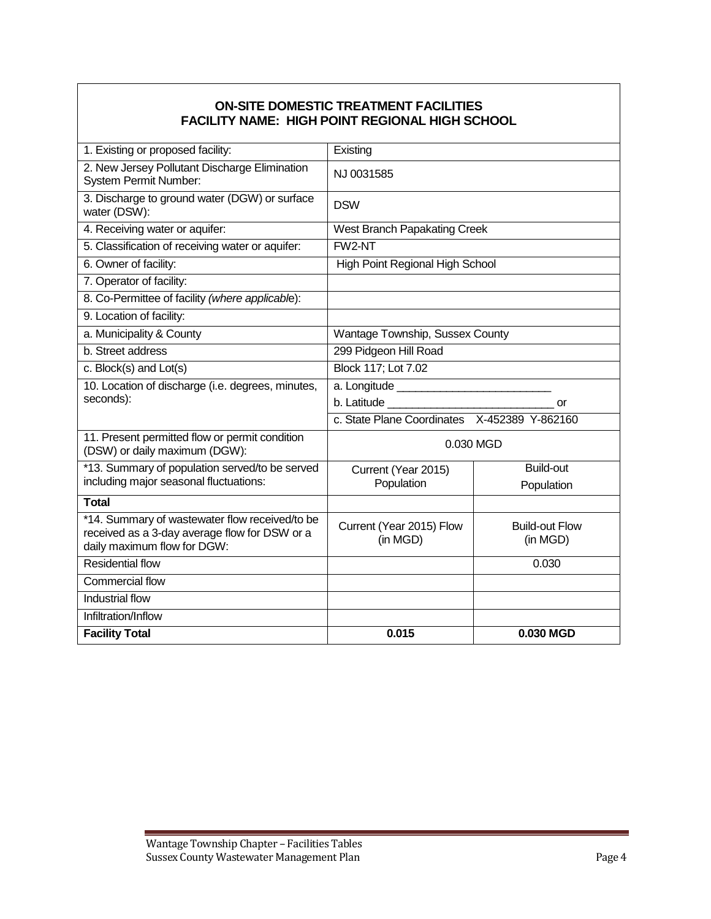## **ON-SITE DOMESTIC TREATMENT FACILITIES FACILITY NAME: HIGH POINT REGIONAL HIGH SCHOOL**

| 1. Existing or proposed facility:                                               | Existing                                     |                       |  |  |
|---------------------------------------------------------------------------------|----------------------------------------------|-----------------------|--|--|
| 2. New Jersey Pollutant Discharge Elimination<br>System Permit Number:          | NJ 0031585                                   |                       |  |  |
| 3. Discharge to ground water (DGW) or surface<br>water (DSW):                   | <b>DSW</b>                                   |                       |  |  |
| 4. Receiving water or aquifer:                                                  | West Branch Papakating Creek                 |                       |  |  |
| 5. Classification of receiving water or aquifer:                                | FW2-NT                                       |                       |  |  |
| 6. Owner of facility:                                                           | High Point Regional High School              |                       |  |  |
| 7. Operator of facility:                                                        |                                              |                       |  |  |
| 8. Co-Permittee of facility (where applicable):                                 |                                              |                       |  |  |
| 9. Location of facility:                                                        |                                              |                       |  |  |
| a. Municipality & County                                                        | Wantage Township, Sussex County              |                       |  |  |
| b. Street address                                                               | 299 Pidgeon Hill Road                        |                       |  |  |
| c. Block(s) and Lot(s)                                                          | Block 117; Lot 7.02                          |                       |  |  |
| 10. Location of discharge (i.e. degrees, minutes,                               |                                              |                       |  |  |
| seconds):                                                                       |                                              | or                    |  |  |
|                                                                                 | c. State Plane Coordinates X-452389 Y-862160 |                       |  |  |
| 11. Present permitted flow or permit condition<br>(DSW) or daily maximum (DGW): | 0.030 MGD                                    |                       |  |  |
| *13. Summary of population served/to be served                                  | Current (Year 2015)                          | <b>Build-out</b>      |  |  |
| including major seasonal fluctuations:                                          | Population                                   | Population            |  |  |
| <b>Total</b>                                                                    |                                              |                       |  |  |
| *14. Summary of wastewater flow received/to be                                  | Current (Year 2015) Flow                     | <b>Build-out Flow</b> |  |  |
| received as a 3-day average flow for DSW or a<br>daily maximum flow for DGW:    | (in MGD)                                     | (in MGD)              |  |  |
| <b>Residential flow</b>                                                         |                                              | 0.030                 |  |  |
| Commercial flow                                                                 |                                              |                       |  |  |
| <b>Industrial flow</b>                                                          |                                              |                       |  |  |
| Infiltration/Inflow                                                             |                                              |                       |  |  |
| <b>Facility Total</b>                                                           | 0.015                                        | 0.030 MGD             |  |  |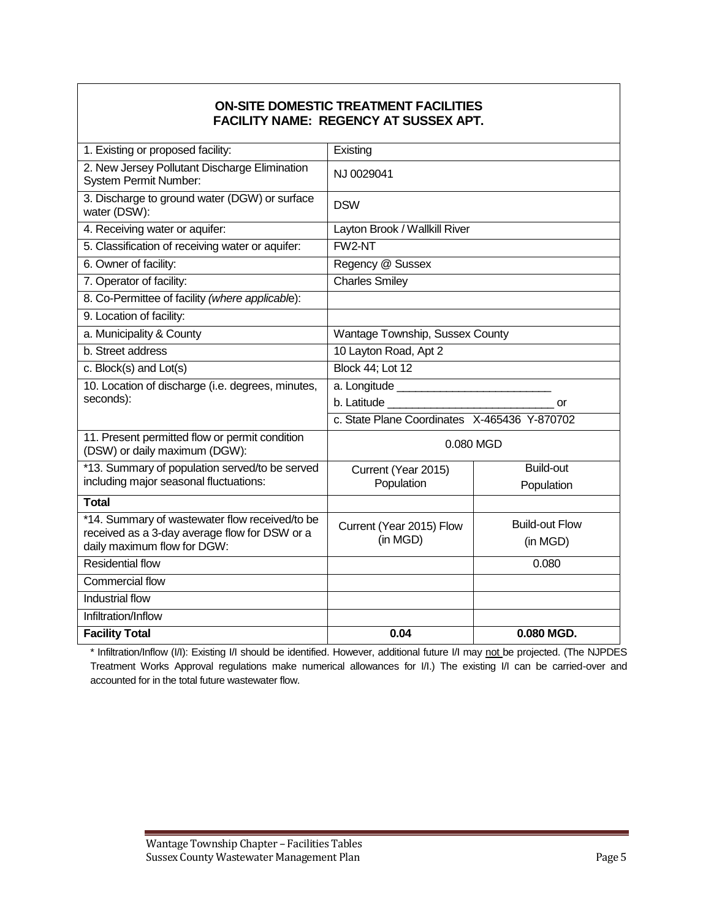#### **ON-SITE DOMESTIC TREATMENT FACILITIES FACILITY NAME: REGENCY AT SUSSEX APT.**

| 1. Existing or proposed facility:                                               | Existing                                     |                       |  |
|---------------------------------------------------------------------------------|----------------------------------------------|-----------------------|--|
| 2. New Jersey Pollutant Discharge Elimination<br><b>System Permit Number:</b>   | NJ 0029041                                   |                       |  |
| 3. Discharge to ground water (DGW) or surface<br>water (DSW):                   | <b>DSW</b>                                   |                       |  |
| 4. Receiving water or aquifer:                                                  | Layton Brook / Wallkill River                |                       |  |
| 5. Classification of receiving water or aquifer:                                | FW2-NT                                       |                       |  |
| 6. Owner of facility:                                                           | Regency @ Sussex                             |                       |  |
| 7. Operator of facility:                                                        | <b>Charles Smiley</b>                        |                       |  |
| 8. Co-Permittee of facility (where applicable):                                 |                                              |                       |  |
| 9. Location of facility:                                                        |                                              |                       |  |
| a. Municipality & County                                                        | Wantage Township, Sussex County              |                       |  |
| b. Street address                                                               | 10 Layton Road, Apt 2                        |                       |  |
| c. Block(s) and Lot(s)                                                          | <b>Block 44; Lot 12</b>                      |                       |  |
| 10. Location of discharge (i.e. degrees, minutes,                               |                                              |                       |  |
| seconds):                                                                       | b. Latitude<br>or                            |                       |  |
|                                                                                 | c. State Plane Coordinates X-465436 Y-870702 |                       |  |
| 11. Present permitted flow or permit condition<br>(DSW) or daily maximum (DGW): | 0.080 MGD                                    |                       |  |
| *13. Summary of population served/to be served                                  | Current (Year 2015)                          | <b>Build-out</b>      |  |
| including major seasonal fluctuations:                                          | Population                                   | Population            |  |
| <b>Total</b>                                                                    |                                              |                       |  |
| *14. Summary of wastewater flow received/to be                                  | Current (Year 2015) Flow                     | <b>Build-out Flow</b> |  |
| received as a 3-day average flow for DSW or a<br>daily maximum flow for DGW:    | (in MGD)                                     | (in MGD)              |  |
| <b>Residential flow</b>                                                         | 0.080                                        |                       |  |
| Commercial flow                                                                 |                                              |                       |  |
| Industrial flow                                                                 |                                              |                       |  |
|                                                                                 |                                              |                       |  |
| Infiltration/Inflow                                                             |                                              |                       |  |
| <b>Facility Total</b>                                                           | 0.04                                         | 0.080 MGD.            |  |

\* Infiltration/Inflow (I/I): Existing I/I should be identified. However, additional future I/I may not be projected. (The NJPDES Treatment Works Approval regulations make numerical allowances for I/I.) The existing I/I can be carried-over and accounted for in the total future wastewater flow.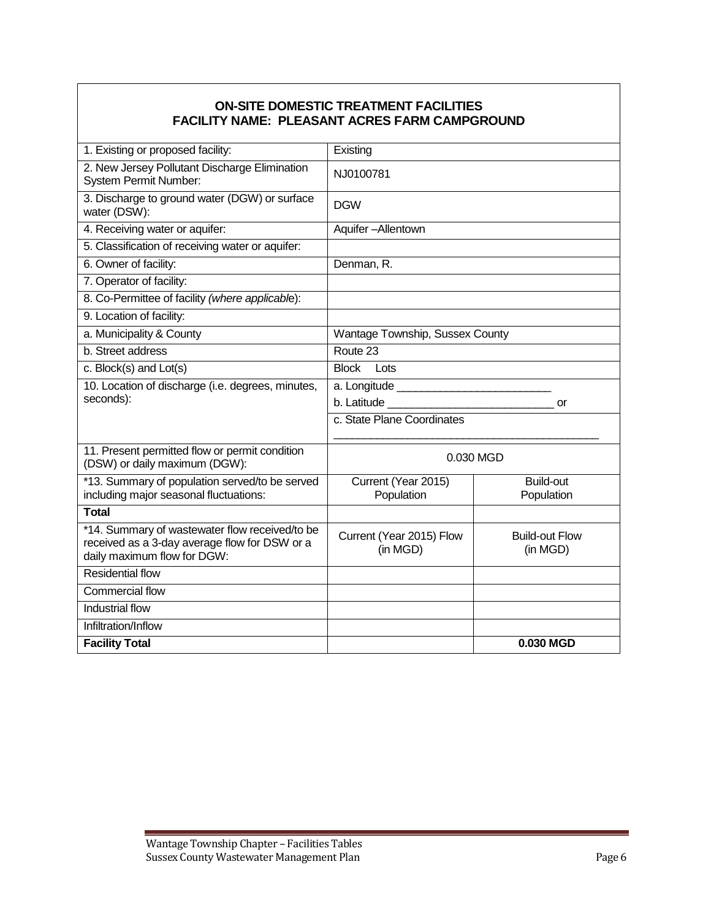## **ON-SITE DOMESTIC TREATMENT FACILITIES FACILITY NAME: PLEASANT ACRES FARM CAMPGROUND**

| 1. Existing or proposed facility:                                                                                              | Existing                             |                                   |  |
|--------------------------------------------------------------------------------------------------------------------------------|--------------------------------------|-----------------------------------|--|
| 2. New Jersey Pollutant Discharge Elimination<br><b>System Permit Number:</b>                                                  | NJ0100781                            |                                   |  |
| 3. Discharge to ground water (DGW) or surface<br>water (DSW):                                                                  | <b>DGW</b>                           |                                   |  |
| 4. Receiving water or aquifer:                                                                                                 | Aquifer-Allentown                    |                                   |  |
| 5. Classification of receiving water or aquifer:                                                                               |                                      |                                   |  |
| 6. Owner of facility:                                                                                                          | Denman, R.                           |                                   |  |
| 7. Operator of facility:                                                                                                       |                                      |                                   |  |
| 8. Co-Permittee of facility (where applicable):                                                                                |                                      |                                   |  |
| 9. Location of facility:                                                                                                       |                                      |                                   |  |
| a. Municipality & County                                                                                                       | Wantage Township, Sussex County      |                                   |  |
| b. Street address                                                                                                              | Route 23                             |                                   |  |
| c. Block(s) and Lot(s)                                                                                                         | <b>Block</b><br>Lots                 |                                   |  |
| 10. Location of discharge (i.e. degrees, minutes,                                                                              |                                      |                                   |  |
| seconds):                                                                                                                      | or                                   |                                   |  |
|                                                                                                                                | c. State Plane Coordinates           |                                   |  |
| 11. Present permitted flow or permit condition<br>(DSW) or daily maximum (DGW):                                                | 0.030 MGD                            |                                   |  |
| *13. Summary of population served/to be served<br>including major seasonal fluctuations:                                       | Current (Year 2015)<br>Population    | <b>Build-out</b><br>Population    |  |
| <b>Total</b>                                                                                                                   |                                      |                                   |  |
| *14. Summary of wastewater flow received/to be<br>received as a 3-day average flow for DSW or a<br>daily maximum flow for DGW: | Current (Year 2015) Flow<br>(in MGD) | <b>Build-out Flow</b><br>(in MGD) |  |
| <b>Residential flow</b>                                                                                                        |                                      |                                   |  |
| Commercial flow                                                                                                                |                                      |                                   |  |
| Industrial flow                                                                                                                |                                      |                                   |  |
| Infiltration/Inflow                                                                                                            |                                      |                                   |  |
| <b>Facility Total</b>                                                                                                          |                                      | 0.030 MGD                         |  |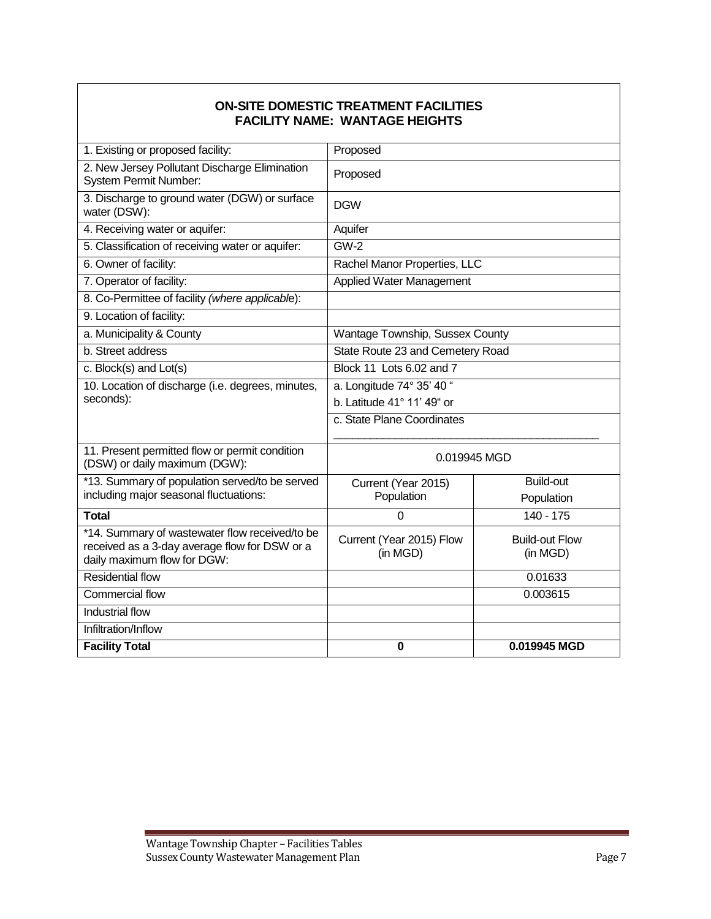#### **ON-SITE DOMESTIC TREATMENT FACILITIES FACILITY NAME: WANTAGE HEIGHTS**

| 1. Existing or proposed facility:                                                                                              | Proposed                             |                                   |  |
|--------------------------------------------------------------------------------------------------------------------------------|--------------------------------------|-----------------------------------|--|
| 2. New Jersey Pollutant Discharge Elimination<br><b>System Permit Number:</b>                                                  | Proposed                             |                                   |  |
| 3. Discharge to ground water (DGW) or surface<br>water (DSW):                                                                  | <b>DGW</b>                           |                                   |  |
| 4. Receiving water or aquifer:                                                                                                 | Aquifer                              |                                   |  |
| 5. Classification of receiving water or aquifer:                                                                               | <b>GW-2</b>                          |                                   |  |
| 6. Owner of facility:                                                                                                          |                                      | Rachel Manor Properties, LLC      |  |
| 7. Operator of facility:                                                                                                       | <b>Applied Water Management</b>      |                                   |  |
| 8. Co-Permittee of facility (where applicable):                                                                                |                                      |                                   |  |
| 9. Location of facility:                                                                                                       |                                      |                                   |  |
| a. Municipality & County                                                                                                       | Wantage Township, Sussex County      |                                   |  |
| b. Street address                                                                                                              | State Route 23 and Cemetery Road     |                                   |  |
| c. Block(s) and Lot(s)                                                                                                         | Block 11 Lots 6.02 and 7             |                                   |  |
| 10. Location of discharge (i.e. degrees, minutes,                                                                              | a. Longitude 74° 35' 40 "            |                                   |  |
| seconds):                                                                                                                      | b. Latitude $41^\circ$ 11' 49" or    |                                   |  |
|                                                                                                                                | c. State Plane Coordinates           |                                   |  |
| 11. Present permitted flow or permit condition<br>(DSW) or daily maximum (DGW):                                                | 0.019945 MGD                         |                                   |  |
| *13. Summary of population served/to be served                                                                                 | Current (Year 2015)                  | <b>Build-out</b>                  |  |
| including major seasonal fluctuations:                                                                                         | Population                           | Population                        |  |
| <b>Total</b>                                                                                                                   | $\mathbf 0$                          | $140 - 175$                       |  |
| *14. Summary of wastewater flow received/to be<br>received as a 3-day average flow for DSW or a<br>daily maximum flow for DGW: | Current (Year 2015) Flow<br>(in MGD) | <b>Build-out Flow</b><br>(in MGD) |  |
| <b>Residential flow</b>                                                                                                        |                                      | 0.01633                           |  |
| Commercial flow                                                                                                                |                                      | 0.003615                          |  |
| Industrial flow                                                                                                                |                                      |                                   |  |
| Infiltration/Inflow                                                                                                            |                                      |                                   |  |
| <b>Facility Total</b>                                                                                                          | $\bf{0}$                             | 0.019945 MGD                      |  |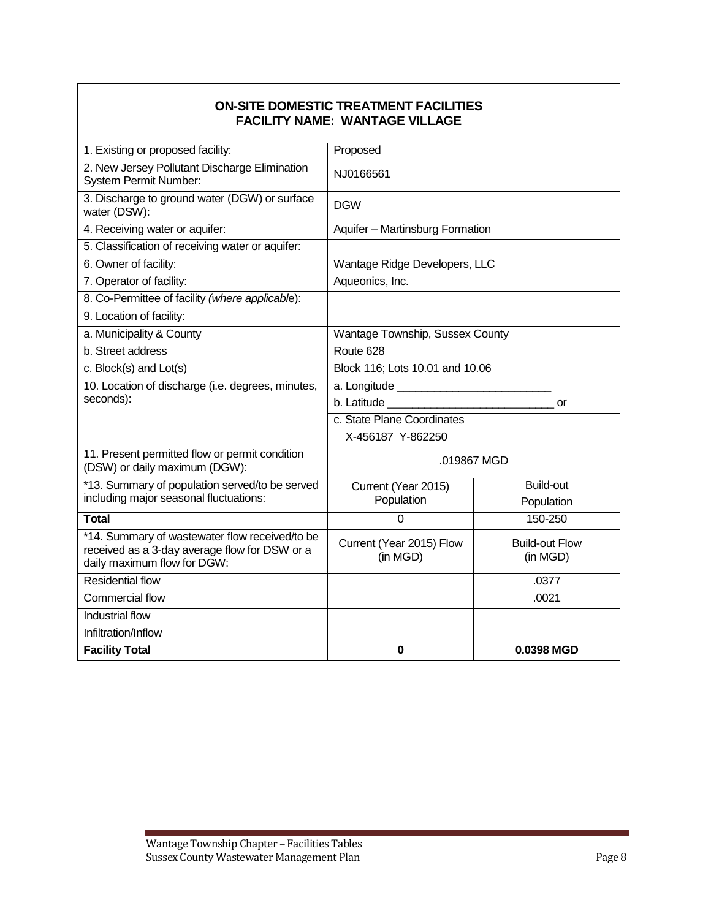#### **ON-SITE DOMESTIC TREATMENT FACILITIES FACILITY NAME: WANTAGE VILLAGE**

| 1. Existing or proposed facility:                                                                                              | Proposed                             |                                   |  |
|--------------------------------------------------------------------------------------------------------------------------------|--------------------------------------|-----------------------------------|--|
| 2. New Jersey Pollutant Discharge Elimination<br>System Permit Number:                                                         | NJ0166561                            |                                   |  |
| 3. Discharge to ground water (DGW) or surface<br>water (DSW):                                                                  | <b>DGW</b>                           |                                   |  |
| 4. Receiving water or aquifer:                                                                                                 | Aquifer - Martinsburg Formation      |                                   |  |
| 5. Classification of receiving water or aquifer:                                                                               |                                      |                                   |  |
| 6. Owner of facility:                                                                                                          |                                      | Wantage Ridge Developers, LLC     |  |
| 7. Operator of facility:                                                                                                       | Aqueonics, Inc.                      |                                   |  |
| 8. Co-Permittee of facility (where applicable):                                                                                |                                      |                                   |  |
| 9. Location of facility:                                                                                                       |                                      |                                   |  |
| a. Municipality & County                                                                                                       | Wantage Township, Sussex County      |                                   |  |
| b. Street address                                                                                                              | Route 628                            |                                   |  |
| c. Block(s) and Lot(s)                                                                                                         | Block 116; Lots 10.01 and 10.06      |                                   |  |
| 10. Location of discharge (i.e. degrees, minutes,                                                                              |                                      |                                   |  |
| seconds):                                                                                                                      | b. Latitude <b>b</b>                 | or                                |  |
|                                                                                                                                | c. State Plane Coordinates           |                                   |  |
|                                                                                                                                | X-456187 Y-862250                    |                                   |  |
| 11. Present permitted flow or permit condition<br>(DSW) or daily maximum (DGW):                                                | .019867 MGD                          |                                   |  |
| *13. Summary of population served/to be served                                                                                 | Current (Year 2015)                  | <b>Build-out</b>                  |  |
| including major seasonal fluctuations:                                                                                         | Population                           | Population                        |  |
| <b>Total</b>                                                                                                                   | $\Omega$                             | 150-250                           |  |
| *14. Summary of wastewater flow received/to be<br>received as a 3-day average flow for DSW or a<br>daily maximum flow for DGW: | Current (Year 2015) Flow<br>(in MGD) | <b>Build-out Flow</b><br>(in MGD) |  |
| <b>Residential flow</b>                                                                                                        |                                      | .0377                             |  |
| Commercial flow                                                                                                                |                                      | .0021                             |  |
| Industrial flow                                                                                                                |                                      |                                   |  |
| Infiltration/Inflow                                                                                                            |                                      |                                   |  |
| <b>Facility Total</b>                                                                                                          | $\bf{0}$                             | 0.0398 MGD                        |  |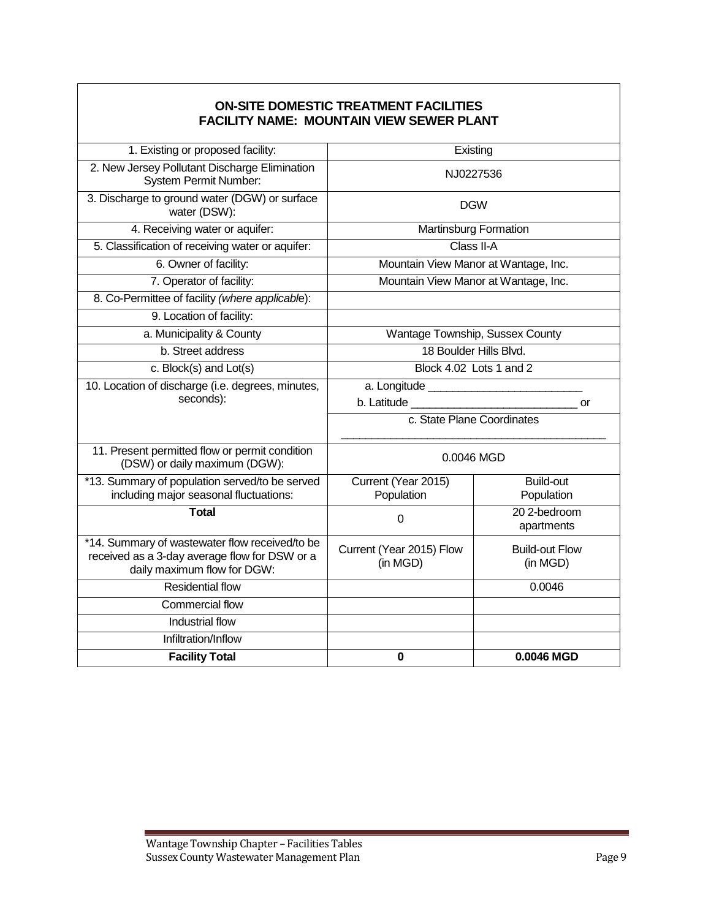### **ON-SITE DOMESTIC TREATMENT FACILITIES FACILITY NAME: MOUNTAIN VIEW SEWER PLANT**

| 1. Existing or proposed facility:                                                                                              | Existing                             |                                   |  |
|--------------------------------------------------------------------------------------------------------------------------------|--------------------------------------|-----------------------------------|--|
| 2. New Jersey Pollutant Discharge Elimination<br>System Permit Number:                                                         | NJ0227536                            |                                   |  |
| 3. Discharge to ground water (DGW) or surface<br>water (DSW):                                                                  | <b>DGW</b>                           |                                   |  |
| 4. Receiving water or aquifer:                                                                                                 | <b>Martinsburg Formation</b>         |                                   |  |
| 5. Classification of receiving water or aquifer:                                                                               | Class II-A                           |                                   |  |
| 6. Owner of facility:                                                                                                          | Mountain View Manor at Wantage, Inc. |                                   |  |
| 7. Operator of facility:                                                                                                       | Mountain View Manor at Wantage, Inc. |                                   |  |
| 8. Co-Permittee of facility (where applicable):                                                                                |                                      |                                   |  |
| 9. Location of facility:                                                                                                       |                                      |                                   |  |
| a. Municipality & County                                                                                                       | Wantage Township, Sussex County      |                                   |  |
| b. Street address                                                                                                              | 18 Boulder Hills Blvd.               |                                   |  |
| c. Block(s) and $Lot(s)$                                                                                                       | Block 4.02 Lots 1 and 2              |                                   |  |
| 10. Location of discharge (i.e. degrees, minutes,                                                                              |                                      |                                   |  |
| seconds):                                                                                                                      |                                      | or                                |  |
|                                                                                                                                | c. State Plane Coordinates           |                                   |  |
| 11. Present permitted flow or permit condition<br>(DSW) or daily maximum (DGW):                                                | 0.0046 MGD                           |                                   |  |
| *13. Summary of population served/to be served<br>including major seasonal fluctuations:                                       | Current (Year 2015)<br>Population    | <b>Build-out</b><br>Population    |  |
| <b>Total</b>                                                                                                                   | $\mathbf 0$                          | 20 2-bedroom<br>apartments        |  |
| *14. Summary of wastewater flow received/to be<br>received as a 3-day average flow for DSW or a<br>daily maximum flow for DGW: | Current (Year 2015) Flow<br>(in MGD) | <b>Build-out Flow</b><br>(in MGD) |  |
| <b>Residential flow</b>                                                                                                        |                                      | 0.0046                            |  |
| <b>Commercial flow</b>                                                                                                         |                                      |                                   |  |
| Industrial flow                                                                                                                |                                      |                                   |  |
| Infiltration/Inflow                                                                                                            |                                      |                                   |  |
| <b>Facility Total</b>                                                                                                          | 0                                    | 0.0046 MGD                        |  |